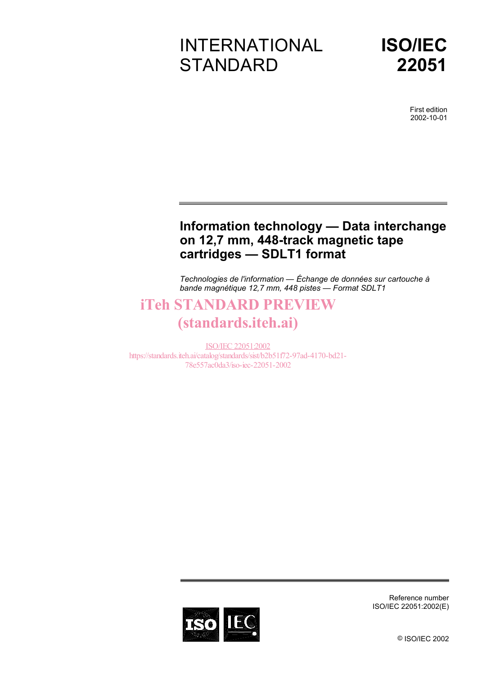# INTERNATIONAL **STANDARD**



First edition 2002-10-01

### **Information technology — Data interchange on 12,7 mm, 448-track magnetic tape cartridges — SDLT1 format**

*Technologies de l'information — Échange de données sur cartouche à bande magnétique 12,7 mm, 448 pistes — Format SDLT1* 

### iTeh STANDARD PREVIEW (standards.iteh.ai)

ISO/IEC 22051:2002 https://standards.iteh.ai/catalog/standards/sist/b2b51f72-97ad-4170-bd21- 78e557ac0da3/iso-iec-22051-2002



Reference number ISO/IEC 22051:2002(E)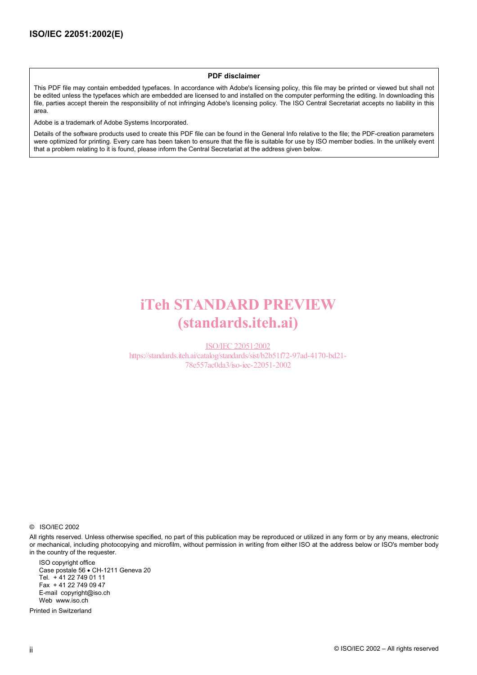#### **PDF disclaimer**

This PDF file may contain embedded typefaces. In accordance with Adobe's licensing policy, this file may be printed or viewed but shall not be edited unless the typefaces which are embedded are licensed to and installed on the computer performing the editing. In downloading this file, parties accept therein the responsibility of not infringing Adobe's licensing policy. The ISO Central Secretariat accepts no liability in this area.

Adobe is a trademark of Adobe Systems Incorporated.

Details of the software products used to create this PDF file can be found in the General Info relative to the file; the PDF-creation parameters were optimized for printing. Every care has been taken to ensure that the file is suitable for use by ISO member bodies. In the unlikely event that a problem relating to it is found, please inform the Central Secretariat at the address given below.

## iTeh STANDARD PREVIEW (standards.iteh.ai)

ISO/IEC 22051:2002 https://standards.iteh.ai/catalog/standards/sist/b2b51f72-97ad-4170-bd21- 78e557ac0da3/iso-iec-22051-2002

© ISO/IEC 2002

All rights reserved. Unless otherwise specified, no part of this publication may be reproduced or utilized in any form or by any means, electronic or mechanical, including photocopying and microfilm, without permission in writing from either ISO at the address below or ISO's member body in the country of the requester.

ISO copyright office Case postale 56 • CH-1211 Geneva 20 Tel. + 41 22 749 01 11 Fax + 41 22 749 09 47 E-mail copyright@iso.ch Web www.iso.ch

Printed in Switzerland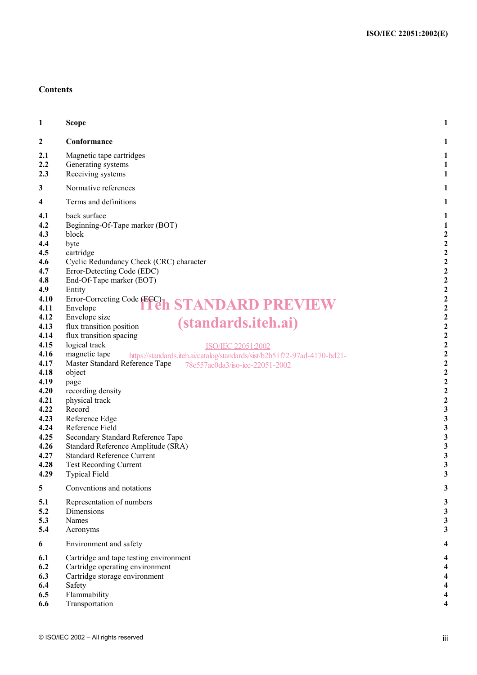#### **Contents**

| 1                                                                                                                                                                                                                           | <b>Scope</b>                                                                                                                                                                                                                                                                                                                                                                                                                                                                                                                                                                                                                                                                                                                                                                                                                                                       | 1                                                                                                                                                                                                                                                                                                                                                                                                                                    |
|-----------------------------------------------------------------------------------------------------------------------------------------------------------------------------------------------------------------------------|--------------------------------------------------------------------------------------------------------------------------------------------------------------------------------------------------------------------------------------------------------------------------------------------------------------------------------------------------------------------------------------------------------------------------------------------------------------------------------------------------------------------------------------------------------------------------------------------------------------------------------------------------------------------------------------------------------------------------------------------------------------------------------------------------------------------------------------------------------------------|--------------------------------------------------------------------------------------------------------------------------------------------------------------------------------------------------------------------------------------------------------------------------------------------------------------------------------------------------------------------------------------------------------------------------------------|
| 2                                                                                                                                                                                                                           | Conformance                                                                                                                                                                                                                                                                                                                                                                                                                                                                                                                                                                                                                                                                                                                                                                                                                                                        | 1                                                                                                                                                                                                                                                                                                                                                                                                                                    |
| 2.1<br>$2.2\,$<br>2.3                                                                                                                                                                                                       | Magnetic tape cartridges<br>Generating systems<br>Receiving systems                                                                                                                                                                                                                                                                                                                                                                                                                                                                                                                                                                                                                                                                                                                                                                                                | 1<br>1<br>1                                                                                                                                                                                                                                                                                                                                                                                                                          |
| 3                                                                                                                                                                                                                           | Normative references                                                                                                                                                                                                                                                                                                                                                                                                                                                                                                                                                                                                                                                                                                                                                                                                                                               | 1                                                                                                                                                                                                                                                                                                                                                                                                                                    |
| 4                                                                                                                                                                                                                           | Terms and definitions                                                                                                                                                                                                                                                                                                                                                                                                                                                                                                                                                                                                                                                                                                                                                                                                                                              | 1                                                                                                                                                                                                                                                                                                                                                                                                                                    |
| 4.1<br>4.2<br>4.3<br>4.4<br>4.5<br>4.6<br>4.7<br>4.8<br>4.9<br>4.10<br>4.11<br>4.12<br>4.13<br>4.14<br>4.15<br>4.16<br>4.17<br>4.18<br>4.19<br>4.20<br>4.21<br>4.22<br>4.23<br>4.24<br>4.25<br>4.26<br>4.27<br>4.28<br>4.29 | back surface<br>Beginning-Of-Tape marker (BOT)<br>block<br>byte<br>cartridge<br>Cyclic Redundancy Check (CRC) character<br>Error-Detecting Code (EDC)<br>End-Of-Tape marker (EOT)<br>Entity<br>Error-Correcting Code (ECC)<br><b>STANDARD PREVIEW</b><br>Envelope<br>Envelope size<br><i>(standards.iteh.ai)</i><br>flux transition position<br>flux transition spacing<br>logical track<br>ISO/IEC 22051:2002<br>magnetic tape<br>https://standards.iteh.ai/catalog/standards/sist/b2b51f72-97ad-4170-bd21-<br>Master Standard Reference Tape<br>78e557ac0da3/iso-iec-22051-2002<br>object<br>page<br>recording density<br>physical track<br>Record<br>Reference Edge<br>Reference Field<br>Secondary Standard Reference Tape<br>Standard Reference Amplitude (SRA)<br><b>Standard Reference Current</b><br><b>Test Recording Current</b><br><b>Typical Field</b> | 1<br>1<br>$\overline{c}$<br>$\overline{\mathbf{c}}$<br>$\overline{\mathbf{c}}$<br>$\overline{2}$<br>$\overline{c}$<br>$\overline{c}$<br>$\overline{c}$<br>$\mathbf{2}$<br>$\boldsymbol{2}$<br>2<br>$\overline{c}$<br>$\boldsymbol{2}$<br>$\mathbf{c}$<br>$\overline{\mathbf{c}}$<br>$\overline{\mathbf{c}}$<br>$\overline{\mathbf{c}}$<br>$\overline{2}$<br>$\overline{c}$<br>$\overline{c}$<br>3<br>3<br>3<br>3<br>3<br>3<br>3<br>3 |
| 5                                                                                                                                                                                                                           | Conventions and notations                                                                                                                                                                                                                                                                                                                                                                                                                                                                                                                                                                                                                                                                                                                                                                                                                                          | 3                                                                                                                                                                                                                                                                                                                                                                                                                                    |
| 5.1<br>5.2<br>5.3<br>5.4                                                                                                                                                                                                    | Representation of numbers<br>Dimensions<br>Names<br>Acronyms                                                                                                                                                                                                                                                                                                                                                                                                                                                                                                                                                                                                                                                                                                                                                                                                       | 3<br>3<br>3<br>3                                                                                                                                                                                                                                                                                                                                                                                                                     |
| 6                                                                                                                                                                                                                           | Environment and safety                                                                                                                                                                                                                                                                                                                                                                                                                                                                                                                                                                                                                                                                                                                                                                                                                                             | 4                                                                                                                                                                                                                                                                                                                                                                                                                                    |
| 6.1<br>6.2<br>6.3<br>6.4<br>6.5<br>6.6                                                                                                                                                                                      | Cartridge and tape testing environment<br>Cartridge operating environment<br>Cartridge storage environment<br>Safety<br>Flammability<br>Transportation                                                                                                                                                                                                                                                                                                                                                                                                                                                                                                                                                                                                                                                                                                             | 4<br>4<br>4                                                                                                                                                                                                                                                                                                                                                                                                                          |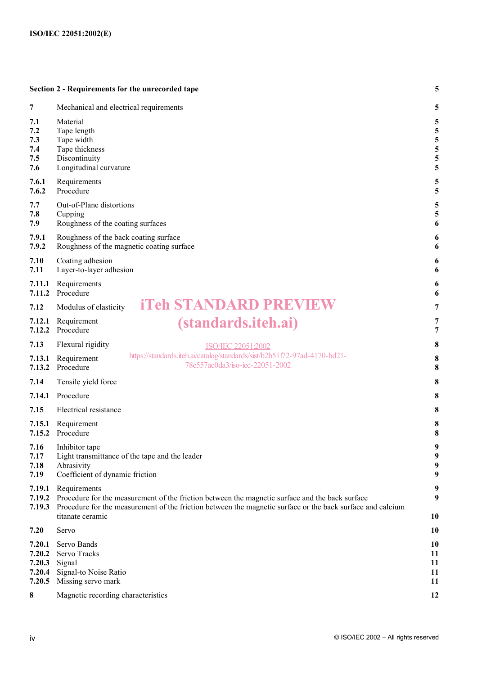|                                                | Section 2 - Requirements for the unrecorded tape                                                                                                                                                                                                                  | 5                                                             |  |
|------------------------------------------------|-------------------------------------------------------------------------------------------------------------------------------------------------------------------------------------------------------------------------------------------------------------------|---------------------------------------------------------------|--|
| 7                                              | Mechanical and electrical requirements                                                                                                                                                                                                                            | 5                                                             |  |
| 7.1<br>7.2<br>7.3<br>7.4<br>7.5<br>7.6         | Material<br>Tape length<br>Tape width<br>Tape thickness<br>Discontinuity<br>Longitudinal curvature                                                                                                                                                                | 5<br>5<br>5<br>5<br>5<br>5                                    |  |
| 7.6.1<br>7.6.2                                 | Requirements<br>Procedure                                                                                                                                                                                                                                         | 5<br>5                                                        |  |
| 7.7<br>7.8<br>7.9                              | Out-of-Plane distortions<br>Cupping<br>Roughness of the coating surfaces                                                                                                                                                                                          | 5<br>5<br>6                                                   |  |
| 7.9.1<br>7.9.2                                 | Roughness of the back coating surface<br>Roughness of the magnetic coating surface                                                                                                                                                                                | 6<br>6                                                        |  |
| 7.10<br>7.11                                   | Coating adhesion<br>Layer-to-layer adhesion                                                                                                                                                                                                                       | 6<br>6                                                        |  |
| 7.11.1<br>7.11.2                               | Requirements<br>Procedure                                                                                                                                                                                                                                         | 6<br>6                                                        |  |
| 7.12                                           | <b>iTeh STANDARD PREVIEW</b><br>Modulus of elasticity                                                                                                                                                                                                             | 7                                                             |  |
| 7.12.1<br>7.12.2                               | <i>(standards.iteh.ai)</i><br>Requirement<br>Procedure                                                                                                                                                                                                            | 7<br>$\overline{7}$                                           |  |
| 7.13                                           | Flexural rigidity<br><b>ISO/IEC 22051:2002</b>                                                                                                                                                                                                                    | $\bf{8}$                                                      |  |
| 7.13.1<br>7.13.2                               | https://standards.iteh.ai/catalog/standards/sist/b2b51f72-97ad-4170-bd21-<br>Requirement<br>78e557ac0da3/iso-iec-22051-2002<br>Procedure                                                                                                                          | 8<br>8                                                        |  |
| 7.14                                           | Tensile yield force                                                                                                                                                                                                                                               | 8                                                             |  |
| 7.14.1                                         | Procedure                                                                                                                                                                                                                                                         | 8                                                             |  |
| 7.15                                           | Electrical resistance                                                                                                                                                                                                                                             | $\bf{8}$                                                      |  |
| 7.15.1                                         | Requirement<br>7.15.2 Procedure                                                                                                                                                                                                                                   | 8<br>8                                                        |  |
| 7.16<br>7.17<br>7.18<br>7.19                   | Inhibitor tape<br>Light transmittance of the tape and the leader<br>Abrasivity<br>Coefficient of dynamic friction                                                                                                                                                 | 9<br>$\boldsymbol{9}$<br>$\boldsymbol{9}$<br>$\boldsymbol{9}$ |  |
| 7.19.1<br>7.19.2<br>7.19.3                     | Requirements<br>9<br>9<br>Procedure for the measurement of the friction between the magnetic surface and the back surface<br>Procedure for the measurement of the friction between the magnetic surface or the back surface and calcium<br>titanate ceramic<br>10 |                                                               |  |
| 7.20                                           | Servo                                                                                                                                                                                                                                                             | 10                                                            |  |
| 7.20.1<br>7.20.2<br>7.20.3<br>7.20.4<br>7.20.5 | Servo Bands<br>Servo Tracks<br>Signal<br>Signal-to Noise Ratio<br>Missing servo mark                                                                                                                                                                              | 10<br>11<br>11<br>11<br>11                                    |  |
| 8                                              | Magnetic recording characteristics                                                                                                                                                                                                                                | 12                                                            |  |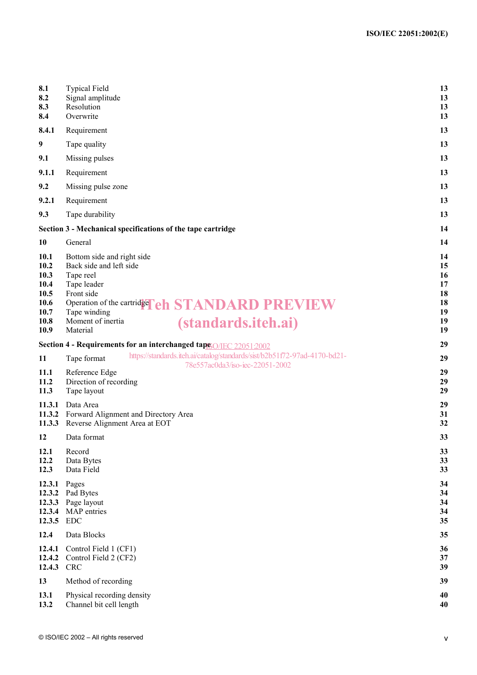| 8.1<br>8.2<br>8.3<br>8.4                                                    | <b>Typical Field</b><br>Signal amplitude<br>Resolution<br>Overwrite                                                                                                                                                                     | 13<br>13<br>13<br>13                               |  |
|-----------------------------------------------------------------------------|-----------------------------------------------------------------------------------------------------------------------------------------------------------------------------------------------------------------------------------------|----------------------------------------------------|--|
| 8.4.1                                                                       | Requirement                                                                                                                                                                                                                             | 13                                                 |  |
| 9                                                                           | Tape quality                                                                                                                                                                                                                            | 13                                                 |  |
| 9.1                                                                         | Missing pulses                                                                                                                                                                                                                          | 13                                                 |  |
| 9.1.1                                                                       | Requirement                                                                                                                                                                                                                             | 13                                                 |  |
| 9.2                                                                         | Missing pulse zone                                                                                                                                                                                                                      | 13                                                 |  |
| 9.2.1                                                                       | Requirement                                                                                                                                                                                                                             | 13                                                 |  |
| 9.3                                                                         | Tape durability                                                                                                                                                                                                                         | 13                                                 |  |
|                                                                             | Section 3 - Mechanical specifications of the tape cartridge                                                                                                                                                                             | 14                                                 |  |
| 10                                                                          | 14<br>General                                                                                                                                                                                                                           |                                                    |  |
| <b>10.1</b><br>10.2<br>10.3<br>10.4<br>10.5<br>10.6<br>10.7<br>10.8<br>10.9 | Bottom side and right side<br>Back side and left side<br>Tape reel<br>Tape leader<br>Front side<br>Operation of the cartridge <b>Ch STANDARD PREVIEW</b><br>Tape winding<br>Moment of inertia<br><i>(standards.iteh.ai)</i><br>Material | 14<br>15<br>16<br>17<br>18<br>18<br>19<br>19<br>19 |  |
|                                                                             | Section 4 - Requirements for an interchanged taps O/IEC 22051:2002                                                                                                                                                                      | 29                                                 |  |
| 11                                                                          | https://standards.iteh.ai/catalog/standards/sist/b2b51f72-97ad-4170-bd21-<br>Tape format<br>78e557ac0da3/iso-iec-22051-2002                                                                                                             | 29                                                 |  |
| 11.1<br>11.2<br>11.3                                                        | Reference Edge<br>Direction of recording<br>Tape layout                                                                                                                                                                                 | 29<br>29<br>29                                     |  |
| 11.3.1<br>11.3.2<br>11.3.3                                                  | Data Area<br>Forward Alignment and Directory Area<br>Reverse Alignment Area at EOT                                                                                                                                                      | 29<br>31<br>32                                     |  |
| 12                                                                          | Data format                                                                                                                                                                                                                             | 33                                                 |  |
| 12.1<br>12.2<br>12.3                                                        | Record<br>Data Bytes<br>Data Field                                                                                                                                                                                                      | 33<br>33<br>33                                     |  |
| 12.3.1<br>12.3.2<br>12.3.3<br>12.3.4<br>12.3.5                              | Pages<br>Pad Bytes<br>Page layout<br>MAP entries<br><b>EDC</b>                                                                                                                                                                          | 34<br>34<br>34<br>34<br>35                         |  |
| 12.4                                                                        | Data Blocks                                                                                                                                                                                                                             | 35                                                 |  |
| 12.4.1<br>12.4.2<br>12.4.3                                                  | Control Field 1 (CF1)<br>Control Field 2 (CF2)<br><b>CRC</b>                                                                                                                                                                            | 36<br>37<br>39                                     |  |
| 13                                                                          | Method of recording                                                                                                                                                                                                                     | 39                                                 |  |
| 13.1<br>13.2                                                                | Physical recording density<br>Channel bit cell length                                                                                                                                                                                   | 40<br>40                                           |  |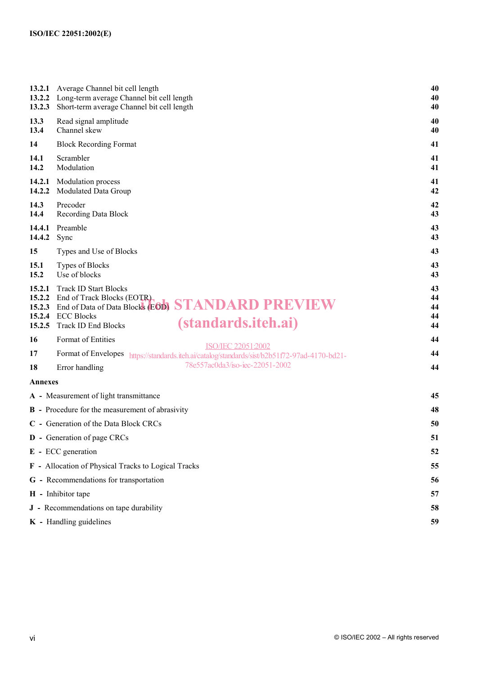| 13.2.1<br>13.2.2<br>13.2.3           | Average Channel bit cell length<br>Long-term average Channel bit cell length<br>Short-term average Channel bit cell length                                                                              |                            |
|--------------------------------------|---------------------------------------------------------------------------------------------------------------------------------------------------------------------------------------------------------|----------------------------|
| 13.3<br>13.4                         | Read signal amplitude<br>Channel skew                                                                                                                                                                   | 40<br>40                   |
| 14                                   | <b>Block Recording Format</b>                                                                                                                                                                           | 41                         |
| 14.1<br>14.2                         | Scrambler<br>Modulation                                                                                                                                                                                 | 41<br>41                   |
| 14.2.1<br>14.2.2                     | Modulation process<br>Modulated Data Group                                                                                                                                                              | 41<br>42                   |
| 14.3<br>14.4                         | Precoder<br><b>Recording Data Block</b>                                                                                                                                                                 | 42<br>43                   |
| 14.4.1<br>14.4.2                     | Preamble<br>Sync                                                                                                                                                                                        | 43<br>43                   |
| 15                                   | Types and Use of Blocks                                                                                                                                                                                 | 43                         |
| 15.1<br>15.2                         | Types of Blocks<br>Use of blocks                                                                                                                                                                        | 43<br>43                   |
| 15.2.1<br>15.2.2<br>15.2.4<br>15.2.5 | <b>Track ID Start Blocks</b><br>End of Track Blocks (EOTR)<br>15.2.3 End of Data of Data Blocks (EOD) STANDARD PREVIEW<br><b>ECC Blocks</b><br><i>(standards.iteh.ai)</i><br><b>Track ID End Blocks</b> | 43<br>44<br>44<br>44<br>44 |
| 16                                   | Format of Entities                                                                                                                                                                                      | 44                         |
| 17                                   | ISO/IEC 22051:2002<br>Format of Envelopes https://standards.iteh.ai/catalog/standards/sist/b2b51f72-97ad-4170-bd21-                                                                                     | 44                         |
| 18                                   | 78e557ac0da3/iso-iec-22051-2002<br>Error handling                                                                                                                                                       | 44                         |
| <b>Annexes</b>                       |                                                                                                                                                                                                         |                            |
|                                      | A - Measurement of light transmittance                                                                                                                                                                  | 45                         |
|                                      | <b>B</b> - Procedure for the measurement of abrasivity                                                                                                                                                  | 48                         |
|                                      | C - Generation of the Data Block CRCs                                                                                                                                                                   | 50                         |
|                                      | <b>D</b> - Generation of page CRCs                                                                                                                                                                      | 51                         |
|                                      | $E$ - ECC generation                                                                                                                                                                                    | 52                         |
|                                      | F - Allocation of Physical Tracks to Logical Tracks                                                                                                                                                     | 55                         |
|                                      | G - Recommendations for transportation                                                                                                                                                                  | 56                         |
|                                      | H - Inhibitor tape                                                                                                                                                                                      | 57                         |
|                                      | J - Recommendations on tape durability                                                                                                                                                                  | 58                         |
|                                      | K - Handling guidelines                                                                                                                                                                                 | 59                         |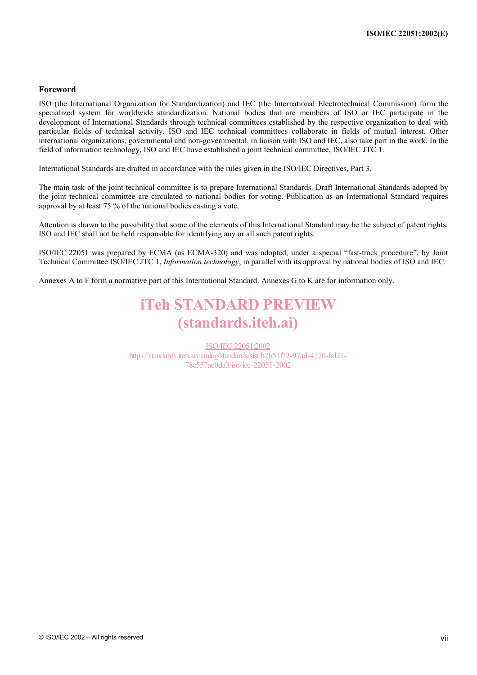#### **Foreword**

ISO (the International Organization for Standardization) and IEC (the International Electrotechnical Commission) form the specialized system for worldwide standardization. National bodies that are members of ISO or IEC participate in the development of International Standards through technical committees established by the respective organization to deal with particular fields of technical activity. ISO and IEC technical committees collaborate in fields of mutual interest. Other international organizations, governmental and non-governmental, in liaison with ISO and IEC, also take part in the work. In the field of information technology, ISO and IEC have established a joint technical committee, ISO/IEC JTC 1.

International Standards are drafted in accordance with the rules given in the ISO/IEC Directives, Part 3.

The main task of the joint technical committee is to prepare International Standards. Draft International Standards adopted by the joint technical committee are circulated to national bodies for voting. Publication as an International Standard requires approval by at least 75 % of the national bodies casting a vote.

Attention is drawn to the possibility that some of the elements of this International Standard may be the subject of patent rights. ISO and IEC shall not be held responsible for identifying any or all such patent rights.

ISO/IEC 22051 was prepared by ECMA (as ECMA-320) and was adopted, under a special "fast-track procedure", by Joint Technical Committee ISO/IEC JTC 1, *Information technology*, in parallel with its approval by national bodies of ISO and IEC.

Annexes A to F form a normative part of this International Standard. Annexes G to K are for information only.

### iTeh STANDARD PREVIEW (standards.iteh.ai)

ISO/IEC 22051:2002 https://standards.iteh.ai/catalog/standards/sist/b2b51f72-97ad-4170-bd21- 78e557ac0da3/iso-iec-22051-2002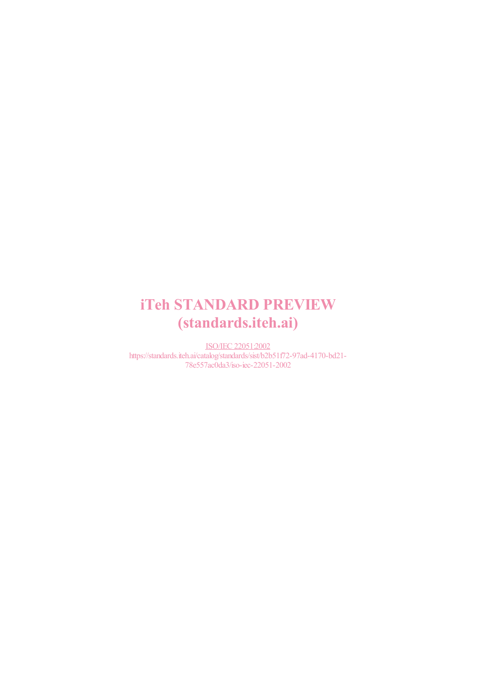## iTeh STANDARD PREVIEW (standards.iteh.ai)

ISO/IEC 22051:2002 https://standards.iteh.ai/catalog/standards/sist/b2b51f72-97ad-4170-bd21- 78e557ac0da3/iso-iec-22051-2002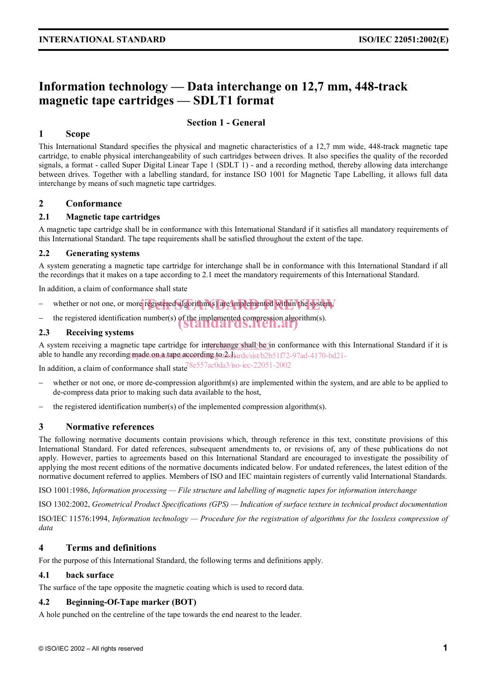### **Information technology — Data interchange on 12,7 mm, 448-track magnetic tape cartridges — SDLT1 format**

#### **Section 1 - General**

#### **1 Scope**

This International Standard specifies the physical and magnetic characteristics of a 12,7 mm wide, 448-track magnetic tape cartridge, to enable physical interchangeability of such cartridges between drives. It also specifies the quality of the recorded signals, a format - called Super Digital Linear Tape 1 (SDLT 1) - and a recording method, thereby allowing data interchange between drives. Together with a labelling standard, for instance ISO 1001 for Magnetic Tape Labelling, it allows full data interchange by means of such magnetic tape cartridges.

#### **2 Conformance**

#### **2.1 Magnetic tape cartridges**

A magnetic tape cartridge shall be in conformance with this International Standard if it satisfies all mandatory requirements of this International Standard. The tape requirements shall be satisfied throughout the extent of the tape.

#### **2.2 Generating systems**

A system generating a magnetic tape cartridge for interchange shall be in conformance with this International Standard if all the recordings that it makes on a tape according to 2.1 meet the mandatory requirements of this International Standard.

In addition, a claim of conformance shall state

- − whether or not one, or more registered algorithm(s) are implemented within the system,
- − the registered identification number(s) of the implemented compression algorithm(s).

#### **2.3 Receiving systems**

A system receiving a magnetic tape cartridge for interchange shall be in conformance with this International Standard if it is able to handle any recording made on a tape according to tantards/sist/b2b51f72-97ad-4170-bd21-

In addition, a claim of conformance shall state  $8e^{557ac0da}$  so-iec-22051-2002

- whether or not one, or more de-compression algorithm(s) are implemented within the system, and are able to be applied to de-compress data prior to making such data available to the host,
- the registered identification number(s) of the implemented compression algorithm(s).

#### **3 Normative references**

The following normative documents contain provisions which, through reference in this text, constitute provisions of this International Standard. For dated references, subsequent amendments to, or revisions of, any of these publications do not apply. However, parties to agreements based on this International Standard are encouraged to investigate the possibility of applying the most recent editions of the normative documents indicated below. For undated references, the latest edition of the normative document referred to applies. Members of ISO and IEC maintain registers of currently valid International Standards.

ISO 1001:1986, *Information processing — File structure and labelling of magnetic tapes for information interchange* 

ISO 1302:2002, *Geometrical Product Specifications (GPS) — Indication of surface texture in technical product documentation* 

ISO/IEC 11576:1994, *Information technology — Procedure for the registration of algorithms for the lossless compression of data* 

#### **4 Terms and definitions**

For the purpose of this International Standard, the following terms and definitions apply.

#### **4.1 back surface**

The surface of the tape opposite the magnetic coating which is used to record data.

#### **4.2 Beginning-Of-Tape marker (BOT)**

A hole punched on the centreline of the tape towards the end nearest to the leader.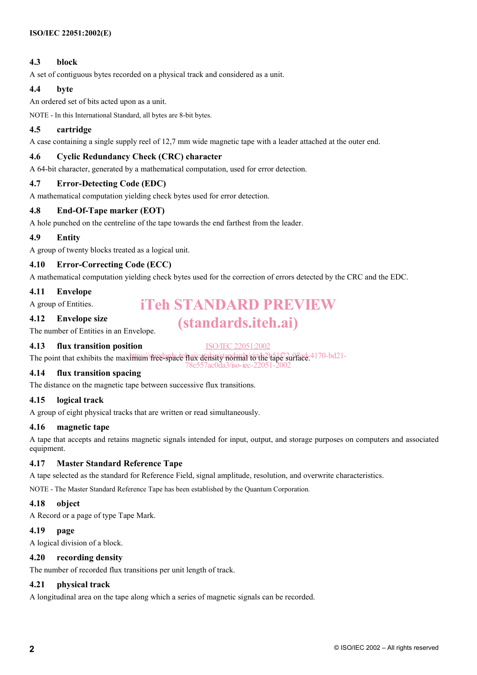#### **4.3 block**

A set of contiguous bytes recorded on a physical track and considered as a unit.

#### **4.4 byte**

An ordered set of bits acted upon as a unit.

NOTE - In this International Standard, all bytes are 8-bit bytes.

#### **4.5 cartridge**

A case containing a single supply reel of 12,7 mm wide magnetic tape with a leader attached at the outer end.

#### **4.6 Cyclic Redundancy Check (CRC) character**

A 64-bit character, generated by a mathematical computation, used for error detection.

#### **4.7 Error-Detecting Code (EDC)**

A mathematical computation yielding check bytes used for error detection.

#### **4.8 End-Of-Tape marker (EOT)**

A hole punched on the centreline of the tape towards the end farthest from the leader.

#### **4.9 Entity**

A group of twenty blocks treated as a logical unit.

#### **4.10 Error-Correcting Code (ECC)**

A mathematical computation yielding check bytes used for the correction of errors detected by the CRC and the EDC.

#### **4.11 Envelope**

A group of Entities.

iTeh STANDARD PREVIEW

(standards.iteh.ai)

#### **4.12 Envelope size**

The number of Entities in an Envelope.

#### **4.13 flux transition position**

ISO/IEC 22051:2002

7ac0da3/iso-iec-2

The point that exhibits the maximum free-space hai/catalog/standard/to the tape surface. 4170-bd21-

#### **4.14 flux transition spacing**

The distance on the magnetic tape between successive flux transitions.

#### **4.15 logical track**

A group of eight physical tracks that are written or read simultaneously.

#### **4.16 magnetic tape**

A tape that accepts and retains magnetic signals intended for input, output, and storage purposes on computers and associated equipment.

#### **4.17 Master Standard Reference Tape**

A tape selected as the standard for Reference Field, signal amplitude, resolution, and overwrite characteristics.

NOTE - The Master Standard Reference Tape has been established by the Quantum Corporation.

#### **4.18 object**

A Record or a page of type Tape Mark.

#### **4.19 page**

A logical division of a block.

#### **4.20 recording density**

The number of recorded flux transitions per unit length of track.

#### **4.21 physical track**

A longitudinal area on the tape along which a series of magnetic signals can be recorded.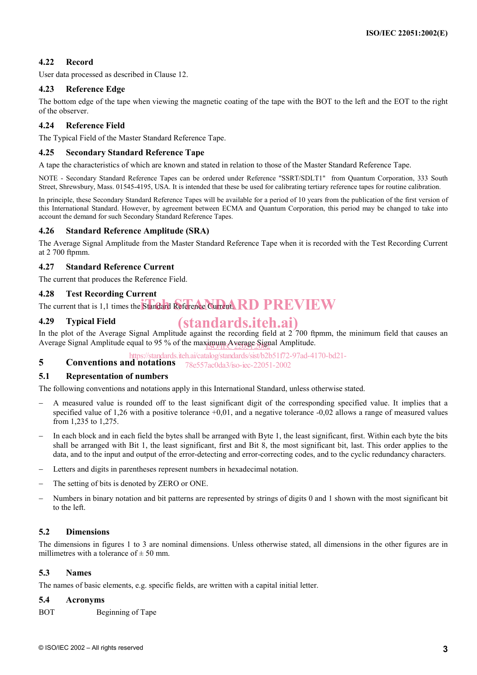#### **4.22 Record**

User data processed as described in Clause 12.

#### **4.23 Reference Edge**

The bottom edge of the tape when viewing the magnetic coating of the tape with the BOT to the left and the EOT to the right of the observer.

#### **4.24 Reference Field**

The Typical Field of the Master Standard Reference Tape.

#### **4.25 Secondary Standard Reference Tape**

A tape the characteristics of which are known and stated in relation to those of the Master Standard Reference Tape.

NOTE - Secondary Standard Reference Tapes can be ordered under Reference "SSRT/SDLT1" from Quantum Corporation, 333 South Street, Shrewsbury, Mass. 01545-4195, USA. It is intended that these be used for calibrating tertiary reference tapes for routine calibration.

In principle, these Secondary Standard Reference Tapes will be available for a period of 10 years from the publication of the first version of this International Standard. However, by agreement between ECMA and Quantum Corporation, this period may be changed to take into account the demand for such Secondary Standard Reference Tapes.

#### **4.26 Standard Reference Amplitude (SRA)**

The Average Signal Amplitude from the Master Standard Reference Tape when it is recorded with the Test Recording Current at 2 700 ftpmm.

#### **4.27 Standard Reference Current**

The current that produces the Reference Field.

#### **4.28 Test Recording Current**

The current that is 1,1 times the Standard Reference Current. RD PREVIEW

#### **4.29 Typical Field**

### (standards.iteh.ai)

In the plot of the Average Signal Amplitude against the recording field at 2 700 ftpmm, the minimum field that causes an Average Signal Amplitude equal to 95 % of the maximum Average Signal Amplitude.

https://standards.iteh.ai/catalog/standards/sist/b2b51f72-97ad-4170-bd21-

**5 Conventions and notations**  78e557ac0da3/iso-iec-22051-2002

#### **5.1 Representation of numbers**

The following conventions and notations apply in this International Standard, unless otherwise stated.

- A measured value is rounded off to the least significant digit of the corresponding specified value. It implies that a specified value of 1,26 with a positive tolerance  $+0.01$ , and a negative tolerance  $-0.02$  allows a range of measured values from 1,235 to 1,275.
- In each block and in each field the bytes shall be arranged with Byte 1, the least significant, first. Within each byte the bits shall be arranged with Bit 1, the least significant, first and Bit 8, the most significant bit, last. This order applies to the data, and to the input and output of the error-detecting and error-correcting codes, and to the cyclic redundancy characters.
- Letters and digits in parentheses represent numbers in hexadecimal notation.
- The setting of bits is denoted by ZERO or ONE.
- Numbers in binary notation and bit patterns are represented by strings of digits 0 and 1 shown with the most significant bit to the left.

#### **5.2 Dimensions**

The dimensions in figures 1 to 3 are nominal dimensions. Unless otherwise stated, all dimensions in the other figures are in millimetres with a tolerance of  $\pm$  50 mm.

#### **5.3 Names**

The names of basic elements, e.g. specific fields, are written with a capital initial letter.

#### **5.4 Acronyms**

BOT Beginning of Tape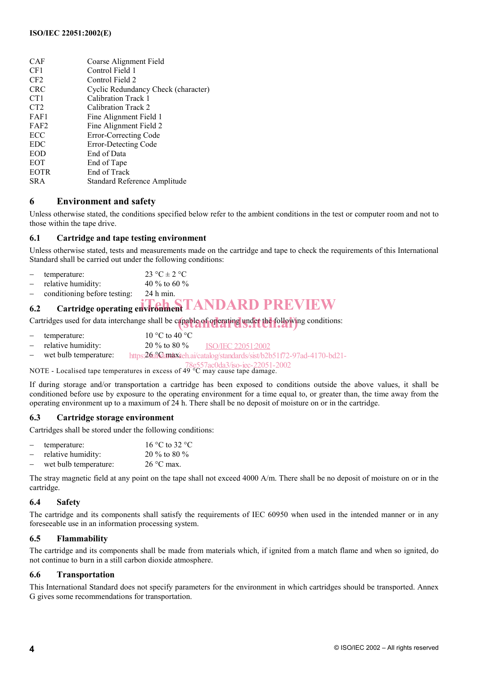| <b>CAF</b>       | Coarse Alignment Field              |
|------------------|-------------------------------------|
| CF1              | Control Field 1                     |
| CF2              | Control Field 2                     |
| <b>CRC</b>       | Cyclic Redundancy Check (character) |
| CT <sub>1</sub>  | Calibration Track 1                 |
| CT <sub>2</sub>  | Calibration Track 2                 |
| FAF1             | Fine Alignment Field 1              |
| FAF <sub>2</sub> | Fine Alignment Field 2              |
| ECC              | Error-Correcting Code               |
| <b>EDC</b>       | Error-Detecting Code                |
| EOD              | End of Data                         |
| <b>EOT</b>       | End of Tape                         |
| <b>EOTR</b>      | End of Track                        |
| <b>SRA</b>       | Standard Reference Amplitude        |
|                  |                                     |

#### **6 Environment and safety**

Unless otherwise stated, the conditions specified below refer to the ambient conditions in the test or computer room and not to those within the tape drive.

#### **6.1 Cartridge and tape testing environment**

Unless otherwise stated, tests and measurements made on the cartridge and tape to check the requirements of this International Standard shall be carried out under the following conditions:

| temperature: | $23 \text{ °C} \pm 2 \text{ °C}$ |
|--------------|----------------------------------|
|--------------|----------------------------------|

- $\mu$  relative humidity:  $40\%$  to 60 %
- − conditioning before testing: 24 h min.

### **6.2** Cartridge operating environment **TANDARD PREVIEW**

Cartridges used for data interchange shall be capable of operating under the following conditions:

- temperature:  $10 \degree C$  to  $40 \degree C$ − relative humidity: 20 % to 80 %
- wet bulb temperature: ISO/IEC 22051:2002 https:26aiGamaxiteh.ai/catalog/standards/sist/b2b51f72-97ad-4170-bd21-
- 78e557ac0da3/iso-iec-22051-2002

NOTE - Localised tape temperatures in excess of 49 °C may cause tape damage.

If during storage and/or transportation a cartridge has been exposed to conditions outside the above values, it shall be conditioned before use by exposure to the operating environment for a time equal to, or greater than, the time away from the operating environment up to a maximum of 24 h. There shall be no deposit of moisture on or in the cartridge.

#### **6.3 Cartridge storage environment**

Cartridges shall be stored under the following conditions:

|     | temperature:          | 16 °C to 32 °C      |
|-----|-----------------------|---------------------|
| $-$ | relative humidity:    | 20 % to 80 %        |
|     | wet bulb temperature: | $26^{\circ}$ C max. |

The stray magnetic field at any point on the tape shall not exceed 4000 A/m. There shall be no deposit of moisture on or in the cartridge.

#### **6.4 Safety**

The cartridge and its components shall satisfy the requirements of IEC 60950 when used in the intended manner or in any foreseeable use in an information processing system.

#### **6.5 Flammability**

The cartridge and its components shall be made from materials which, if ignited from a match flame and when so ignited, do not continue to burn in a still carbon dioxide atmosphere.

#### **6.6 Transportation**

This International Standard does not specify parameters for the environment in which cartridges should be transported. Annex G gives some recommendations for transportation.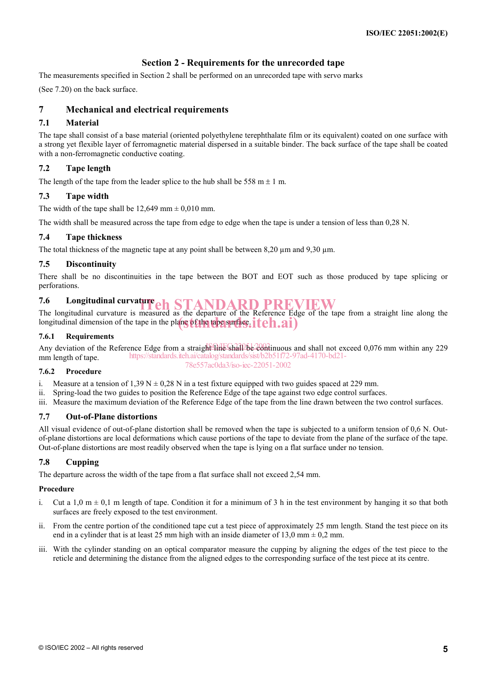#### **Section 2 - Requirements for the unrecorded tape**

The measurements specified in Section 2 shall be performed on an unrecorded tape with servo marks

(See 7.20) on the back surface.

#### **7 Mechanical and electrical requirements**

#### **7.1 Material**

The tape shall consist of a base material (oriented polyethylene terephthalate film or its equivalent) coated on one surface with a strong yet flexible layer of ferromagnetic material dispersed in a suitable binder. The back surface of the tape shall be coated with a non-ferromagnetic conductive coating.

#### **7.2 Tape length**

The length of the tape from the leader splice to the hub shall be 558 m  $\pm$  1 m.

#### **7.3 Tape width**

The width of the tape shall be  $12,649$  mm  $\pm 0,010$  mm.

The width shall be measured across the tape from edge to edge when the tape is under a tension of less than 0,28 N.

#### **7.4 Tape thickness**

The total thickness of the magnetic tape at any point shall be between 8,20  $\mu$ m and 9,30  $\mu$ m.

#### **7.5 Discontinuity**

There shall be no discontinuities in the tape between the BOT and EOT such as those produced by tape splicing or perforations.

## **7.6** Longitudinal curvature **ch** STANDARD PREVIEW

The longitudinal curvature is measured as the departure of the Reference Edge of the tape from a straight line along the longitudinal dimension of the tape in the plane of the tape surface. iteh.ai)

#### **7.6.1 Requirements**

Any deviation of the Reference Edge from a straight line shall be continuous and shall not exceed 0,076 mm within any 229 mm length of tape. https://standards.iteh.ai/catalog/standards/sist/b2b51f72-97ad-4170-bd21- 78e557ac0da3/iso-iec-22051-2002

#### **7.6.2 Procedure**

i. Measure at a tension of 1,39 N  $\pm$  0,28 N in a test fixture equipped with two guides spaced at 229 mm.

ii. Spring-load the two guides to position the Reference Edge of the tape against two edge control surfaces.

iii. Measure the maximum deviation of the Reference Edge of the tape from the line drawn between the two control surfaces.

#### **7.7 Out-of-Plane distortions**

All visual evidence of out-of-plane distortion shall be removed when the tape is subjected to a uniform tension of 0,6 N. Outof-plane distortions are local deformations which cause portions of the tape to deviate from the plane of the surface of the tape. Out-of-plane distortions are most readily observed when the tape is lying on a flat surface under no tension.

#### **7.8 Cupping**

The departure across the width of the tape from a flat surface shall not exceed 2,54 mm.

#### **Procedure**

- i. Cut a 1,0 m  $\pm$  0,1 m length of tape. Condition it for a minimum of 3 h in the test environment by hanging it so that both surfaces are freely exposed to the test environment.
- ii. From the centre portion of the conditioned tape cut a test piece of approximately 25 mm length. Stand the test piece on its end in a cylinder that is at least 25 mm high with an inside diameter of 13,0 mm  $\pm$  0,2 mm.
- iii. With the cylinder standing on an optical comparator measure the cupping by aligning the edges of the test piece to the reticle and determining the distance from the aligned edges to the corresponding surface of the test piece at its centre.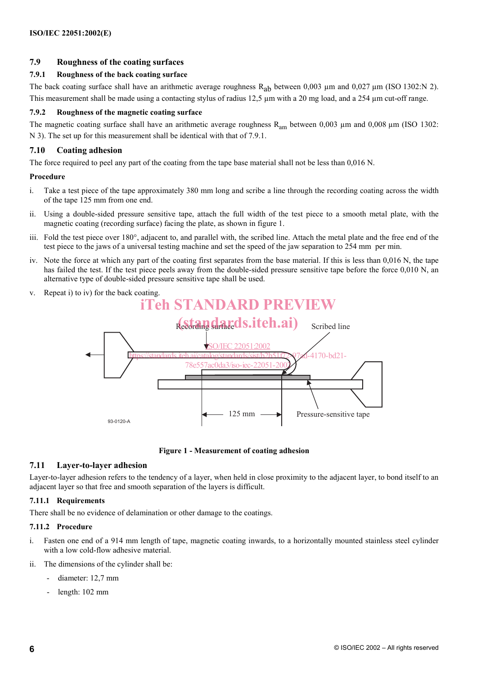#### **7.9 Roughness of the coating surfaces**

#### **7.9.1 Roughness of the back coating surface**

The back coating surface shall have an arithmetic average roughness  $R_{ab}$  between 0,003 µm and 0,027 µm (ISO 1302:N 2). This measurement shall be made using a contacting stylus of radius 12,5  $\mu$ m with a 20 mg load, and a 254  $\mu$ m cut-off range.

#### **7.9.2 Roughness of the magnetic coating surface**

The magnetic coating surface shall have an arithmetic average roughness  $R_{am}$  between 0,003  $\mu$ m and 0,008  $\mu$ m (ISO 1302: N 3). The set up for this measurement shall be identical with that of 7.9.1.

#### **7.10 Coating adhesion**

The force required to peel any part of the coating from the tape base material shall not be less than 0,016 N.

#### **Procedure**

- i. Take a test piece of the tape approximately 380 mm long and scribe a line through the recording coating across the width of the tape 125 mm from one end.
- ii. Using a double-sided pressure sensitive tape, attach the full width of the test piece to a smooth metal plate, with the magnetic coating (recording surface) facing the plate, as shown in figure 1.
- iii. Fold the test piece over 180°, adjacent to, and parallel with, the scribed line. Attach the metal plate and the free end of the test piece to the jaws of a universal testing machine and set the speed of the jaw separation to 254 mm per min.
- iv. Note the force at which any part of the coating first separates from the base material. If this is less than 0,016 N, the tape has failed the test. If the test piece peels away from the double-sided pressure sensitive tape before the force 0,010 N, an alternative type of double-sided pressure sensitive tape shall be used.



**Figure 1 - Measurement of coating adhesion** 

#### **7.11 Layer-to-layer adhesion**

Layer-to-layer adhesion refers to the tendency of a layer, when held in close proximity to the adjacent layer, to bond itself to an adjacent layer so that free and smooth separation of the layers is difficult.

#### **7.11.1 Requirements**

There shall be no evidence of delamination or other damage to the coatings.

#### **7.11.2 Procedure**

- i. Fasten one end of a 914 mm length of tape, magnetic coating inwards, to a horizontally mounted stainless steel cylinder with a low cold-flow adhesive material.
- The dimensions of the cylinder shall be:
	- diameter: 12,7 mm
	- length: 102 mm